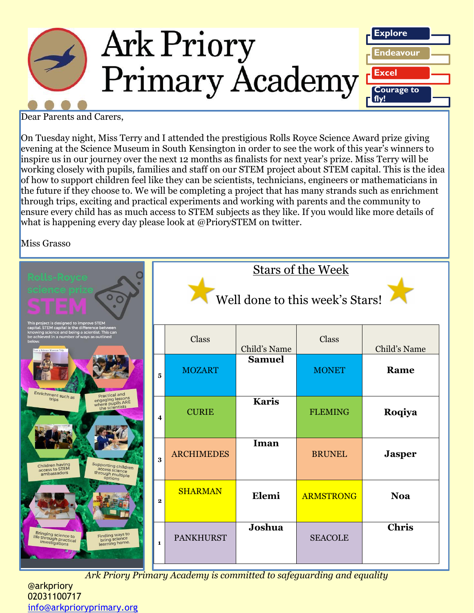

Dear Parents and Carers,

On Tuesday night, Miss Terry and I attended the prestigious Rolls Royce Science Award prize giving evening at the Science Museum in South Kensington in order to see the work of this year's winners to inspire us in our journey over the next 12 months as finalists for next year's prize. Miss Terry will be working closely with pupils, families and staff on our STEM project about STEM capital. This is the idea of how to support children feel like they can be scientists, technicians, engineers or mathematicians in the future if they choose to. We will be completing a project that has many strands such as enrichment through trips, exciting and practical experiments and working with parents and the community to ensure every child has as much access to STEM subjects as they like. If you would like more details of what is happening every day please look at @PriorySTEM on twitter.

Miss Grasso

| <b>Rolls-Royce</b>                                                                                                                                                                                                                  | <b>Stars of the Week</b><br>Well done to this week's Stars! |                   |               |                  |               |
|-------------------------------------------------------------------------------------------------------------------------------------------------------------------------------------------------------------------------------------|-------------------------------------------------------------|-------------------|---------------|------------------|---------------|
| This project is designed to improve STEM<br>capital. STEM capital is the difference between<br>knowing science and being a scientist. This can<br>be achieved in a number of ways as outlined<br>below.<br>ear o Selence Museum Tri |                                                             | Class             | Child's Name  | Class            | Child's Name  |
| Enrichment such as                                                                                                                                                                                                                  | 5                                                           | <b>MOZART</b>     | <b>Samuel</b> | <b>MONET</b>     | Rame          |
| Practical and<br>engaging lessons<br>where pupils ARE<br>the scientists<br>trips                                                                                                                                                    | 4                                                           | <b>CURIE</b>      | <b>Karis</b>  | <b>FLEMING</b>   | Roqiya        |
| Supporting children<br>Children having<br>access to STEM<br>ambassadors<br>through multiple<br>options                                                                                                                              | 3                                                           | <b>ARCHIMEDES</b> | Iman          | <b>BRUNEL</b>    | <b>Jasper</b> |
|                                                                                                                                                                                                                                     | $\mathbf{2}$                                                | <b>SHARMAN</b>    | Elemi         | <b>ARMSTRONG</b> | <b>Noa</b>    |
| <b>Bringing science to</b><br>Finding ways to<br>life through practical<br>investigations<br>bring science<br>learning home.                                                                                                        | $\mathbf{1}$                                                | <b>PANKHURST</b>  | Joshua        | <b>SEACOLE</b>   | <b>Chris</b>  |

*Ark Priory Primary Academy is committed to safeguarding and equality* 

@arkpriory 02031100717 [info@arkprioryprimary.org](mailto:info@arkprioryprimary.org)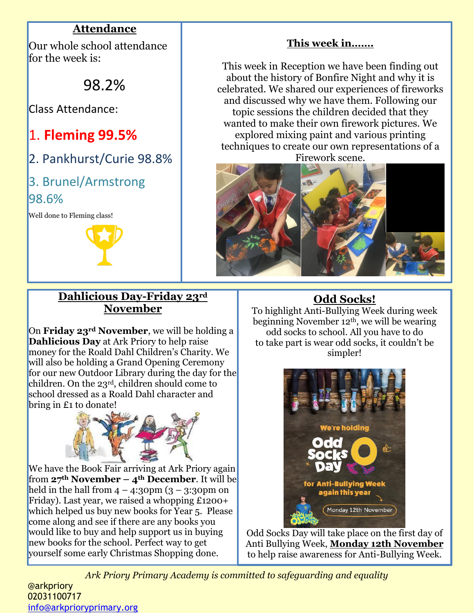### **Attendance**

Our whole school attendance for the week is:

98.2%

Class Attendance:

## 1. **Fleming 99.5%**

2. Pankhurst/Curie 98.8%

## 3. Brunel/Armstrong 98.6%

Well done to Fleming class!



### **This week in…….**

This week in Reception we have been finding out about the history of Bonfire Night and why it is celebrated. We shared our experiences of fireworks and discussed why we have them. Following our topic sessions the children decided that they wanted to make their own firework pictures. We explored mixing paint and various printing techniques to create our own representations of a Firework scene.



### **Dahlicious Day-Friday 23rd November**

On **Friday 23rd November**, we will be holding a **Dahlicious Day** at Ark Priory to help raise money for the Roald Dahl Children's Charity. We will also be holding a Grand Opening Ceremony for our new Outdoor Library during the day for the children. On the 23rd, children should come to school dressed as a Roald Dahl character and bring in £1 to donate!



We have the Book Fair arriving at Ark Priory again from  $27<sup>th</sup>$  **November – 4<sup>th</sup> December**. It will be held in the hall from  $4 - 4:30 \text{pm}$   $(3 - 3:30 \text{pm}$  on Friday). Last year, we raised a whopping £1200+ which helped us buy new books for Year 5. Please come along and see if there are any books you would like to buy and help support us in buying new books for the school. Perfect way to get yourself some early Christmas Shopping done.

## **Odd Socks!**

To highlight Anti-Bullying Week during week beginning November 12th, we will be wearing odd socks to school. All you have to do to take part is wear odd socks, it couldn't be simpler!



Odd Socks Day will take place on the first day of Anti Bullying Week, **Monday 12th November**  to help raise awareness for Anti-Bullying Week.

*Ark Priory Primary Academy is committed to safeguarding and equality*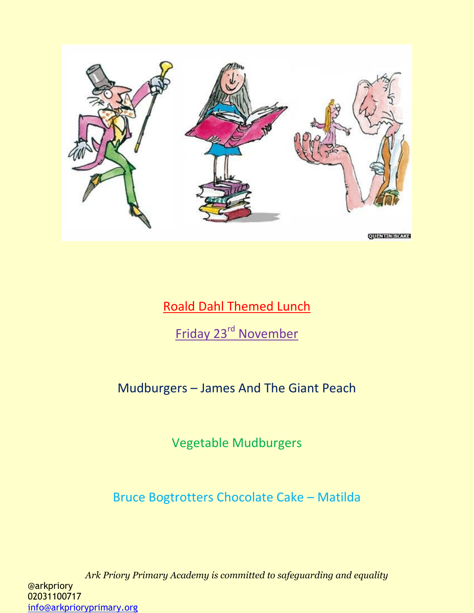

Roald Dahl Themed Lunch

Friday 23<sup>rd</sup> November

Mudburgers – James And The Giant Peach

Vegetable Mudburgers

Bruce Bogtrotters Chocolate Cake – Matilda

*Ark Priory Primary Academy is committed to safeguarding and equality*  @arkpriory 02031100717 [info@arkprioryprimary.org](mailto:info@arkprioryprimary.org)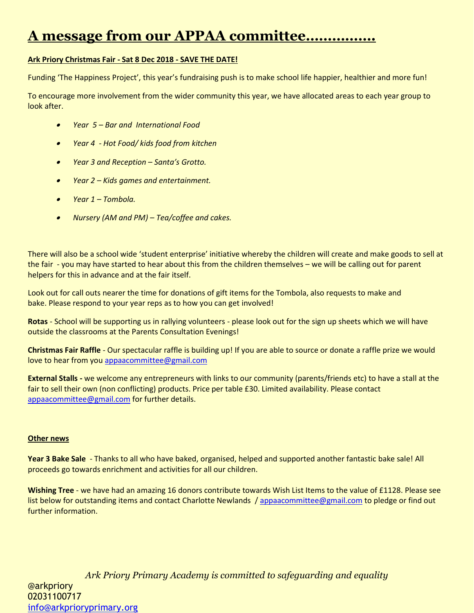# **A message from our APPAA committee…………….**

#### **Ark Priory Christmas Fair - Sat 8 Dec 2018 - SAVE THE DATE!**

Funding 'The Happiness Project', this year's fundraising push is to make school life happier, healthier and more fun!

To encourage more involvement from the wider community this year, we have allocated areas to each year group to look after.

- *Year 5 – Bar and International Food*
- *Year 4 - Hot Food/ kids food from kitchen*
- *Year 3 and Reception – Santa's Grotto.*
- *Year 2 – Kids games and entertainment.*
- *Year 1 – Tombola.*
- *Nursery (AM and PM) – Tea/coffee and cakes.*

There will also be a school wide 'student enterprise' initiative whereby the children will create and make goods to sell at the fair - you may have started to hear about this from the children themselves – we will be calling out for parent helpers for this in advance and at the fair itself.

Look out for call outs nearer the time for donations of gift items for the Tombola, also requests to make and bake. Please respond to your year reps as to how you can get involved!

**Rotas** - School will be supporting us in rallying volunteers - please look out for the sign up sheets which we will have outside the classrooms at the Parents Consultation Evenings!

**Christmas Fair Raffle** - Our spectacular raffle is building up! If you are able to source or donate a raffle prize we would love to hear from you [appaacommittee@gmail.com](mailto:appaacommittee@gmail.com)

**External Stalls -** we welcome any entrepreneurs with links to our community (parents/friends etc) to have a stall at the fair to sell their own (non conflicting) products. Price per table £30. Limited availability. Please contact [appaacommittee@gmail.com](mailto:appaacommittee@gmail.com) for further details.

#### **Other news**

**Year 3 Bake Sale** - Thanks to all who have baked, organised, helped and supported another fantastic bake sale! All proceeds go towards enrichment and activities for all our children.

Wishing Tree - we have had an amazing 16 donors contribute towards Wish List Items to the value of £1128. Please see list below for outstanding items and contact Charlotte Newlands / [appaacommittee@gmail.com](mailto:appaacommittee@gmail.com) to pledge or find out further information.

*Ark Priory Primary Academy is committed to safeguarding and equality*  @arkpriory 02031100717 [info@arkprioryprimary.org](mailto:info@arkprioryprimary.org)